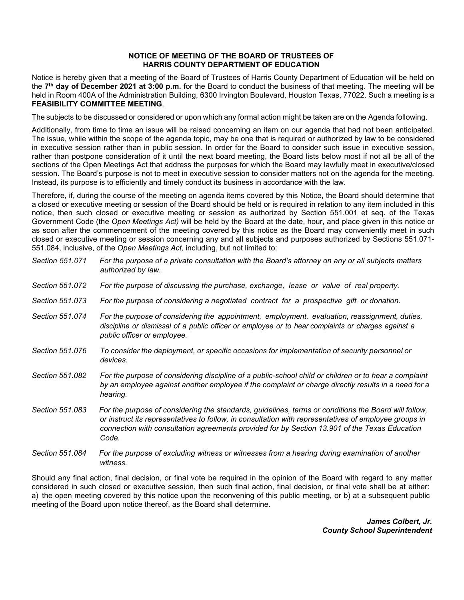## **NOTICE OF MEETING OF THE BOARD OF TRUSTEES OF HARRIS COUNTY DEPARTMENT OF EDUCATION**

Notice is hereby given that a meeting of the Board of Trustees of Harris County Department of Education will be held on the **7th day of December 2021 at 3:00 p.m.** for the Board to conduct the business of that meeting. The meeting will be held in Room 400A of the Administration Building, 6300 Irvington Boulevard, Houston Texas, 77022. Such a meeting is a **FEASIBILITY COMMITTEE MEETING**.

The subjects to be discussed or considered or upon which any formal action might be taken are on the Agenda following.

Additionally, from time to time an issue will be raised concerning an item on our agenda that had not been anticipated. The issue, while within the scope of the agenda topic, may be one that is required or authorized by law to be considered in executive session rather than in public session. In order for the Board to consider such issue in executive session, rather than postpone consideration of it until the next board meeting, the Board lists below most if not all be all of the sections of the Open Meetings Act that address the purposes for which the Board may lawfully meet in executive/closed session. The Board's purpose is not to meet in executive session to consider matters not on the agenda for the meeting. Instead, its purpose is to efficiently and timely conduct its business in accordance with the law.

Therefore, if, during the course of the meeting on agenda items covered by this Notice, the Board should determine that a closed or executive meeting or session of the Board should be held or is required in relation to any item included in this notice, then such closed or executive meeting or session as authorized by Section 551.001 et seq. of the Texas Government Code (the *Open Meetings Act)* will be held by the Board at the date, hour, and place given in this notice or as soon after the commencement of the meeting covered by this notice as the Board may conveniently meet in such closed or executive meeting or session concerning any and all subjects and purposes authorized by Sections 551.071- 551.084, inclusive, of the *Open Meetings Act,* including, but not limited to:

| Section 551.071 | For the purpose of a private consultation with the Board's attorney on any or all subjects matters<br>authorized by law.                                                                                                                                                                                                |
|-----------------|-------------------------------------------------------------------------------------------------------------------------------------------------------------------------------------------------------------------------------------------------------------------------------------------------------------------------|
| Section 551.072 | For the purpose of discussing the purchase, exchange, lease or value of real property.                                                                                                                                                                                                                                  |
| Section 551,073 | For the purpose of considering a negotiated contract for a prospective gift or donation.                                                                                                                                                                                                                                |
| Section 551.074 | For the purpose of considering the appointment, employment, evaluation, reassignment, duties,<br>discipline or dismissal of a public officer or employee or to hear complaints or charges against a<br>public officer or employee.                                                                                      |
| Section 551.076 | To consider the deployment, or specific occasions for implementation of security personnel or<br>devices.                                                                                                                                                                                                               |
| Section 551.082 | For the purpose of considering discipline of a public-school child or children or to hear a complaint<br>by an employee against another employee if the complaint or charge directly results in a need for a<br>hearing.                                                                                                |
| Section 551.083 | For the purpose of considering the standards, guidelines, terms or conditions the Board will follow,<br>or instruct its representatives to follow, in consultation with representatives of employee groups in<br>connection with consultation agreements provided for by Section 13.901 of the Texas Education<br>Code. |
| Section 551,084 | For the purpose of excluding witness or witnesses from a hearing during examination of another                                                                                                                                                                                                                          |

Should any final action, final decision, or final vote be required in the opinion of the Board with regard to any matter considered in such closed or executive session, then such final action, final decision, or final vote shall be at either: a) the open meeting covered by this notice upon the reconvening of this public meeting, or b) at a subsequent public meeting of the Board upon notice thereof, as the Board shall determine.

*witness.*

*James Colbert, Jr. County School Superintendent*